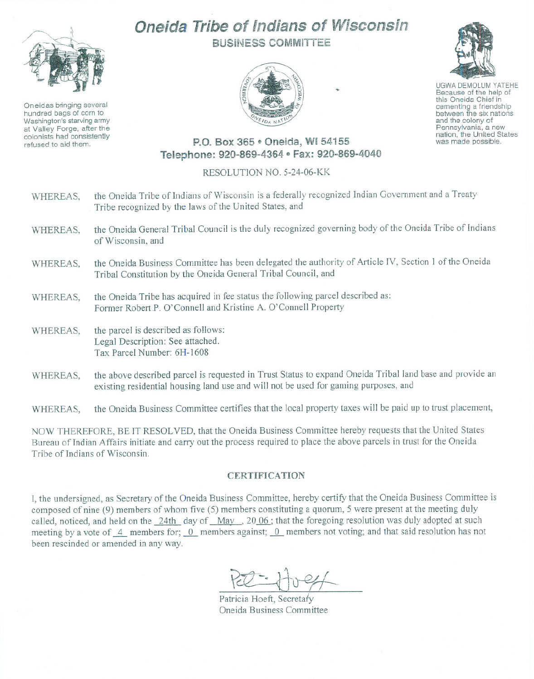

Oneidas bringing several hundred bags of corn to Washington's starving army at Valley Forge, after the colonists had consistently refused to aid them.

## Oneida Tribe of Indians of Wisconsin BUSiNESS COMMITTEE





UGWA DEMOLUM YATEHE Because of the help of this Oneida Chief in<br>cementing a friendship between the six nations and the colony of Pennsylvania, <sup>a</sup> new nation, the United States was made possible.

## P.O. Box 365 ~ Oneida, WI 54155 Telephone: 920-869-4364 e Fax: 920-869-4040

## RESOLUTION NO. 5-24-06-KK

| WHEREAS, | the Oneida Tribe of Indians of Wisconsin is a federally recognized Indian Government and a Treaty<br>Tribe recognized by the laws of the United States, and                                     |
|----------|-------------------------------------------------------------------------------------------------------------------------------------------------------------------------------------------------|
| WHEREAS, | the Oneida General Tribal Council is the duly recognized governing body of the Oneida Tribe of Indians<br>of Wisconsin, and                                                                     |
| WHEREAS, | the Oneida Business Committee has been delegated the authority of Article IV, Section 1 of the Oneida<br>Tribal Constitution by the Oneida General Tribal Council, and                          |
| WHEREAS, | the Oneida Tribe has acquired in fee status the following parcel described as:<br>Former Robert P. O'Connell and Kristine A. O'Connell Property                                                 |
| WHEREAS, | the parcel is described as follows:<br>Legal Description: See attached.<br>Tax Parcel Number: 6H-1608                                                                                           |
| WHEREAS, | the above described parcel is requested in Trust Status to expand Oneida Tribal land base and provide an<br>existing residential housing land use and will not be used for gaming purposes, and |
| WHEREAS. | the Oneida Business Committee certifies that the local property taxes will be paid up to trust placement,                                                                                       |

NOW THEREFORE, BE IT RESOLVED, that the Oneida Business Committee hereby requests that the United States Bureau of Indian Affairs initiate and carry out the process required to place the above parcels in trust for the Oneida Tribe of Indians of Wisconsin.

## **CERTIFICATION**

I, the undersigned, as Secretary of the Oneida Business Committee, hereby certify that the Oneida Business Committee is composed of nine (9) members of whom five (5) members constituting a quorum, 5 were present at the meeting duly called, noticed, and held on the 24th day of May, 2006; that the foregoing resolution was duly adopted at such meeting by a vote of 4 members for; 0 members against; 0 members not voting; and that said resolution has not been rescinded or amended in any way.

Pel - 170 pp

Patricia Hoeft, Secretary Oneida Business Committee